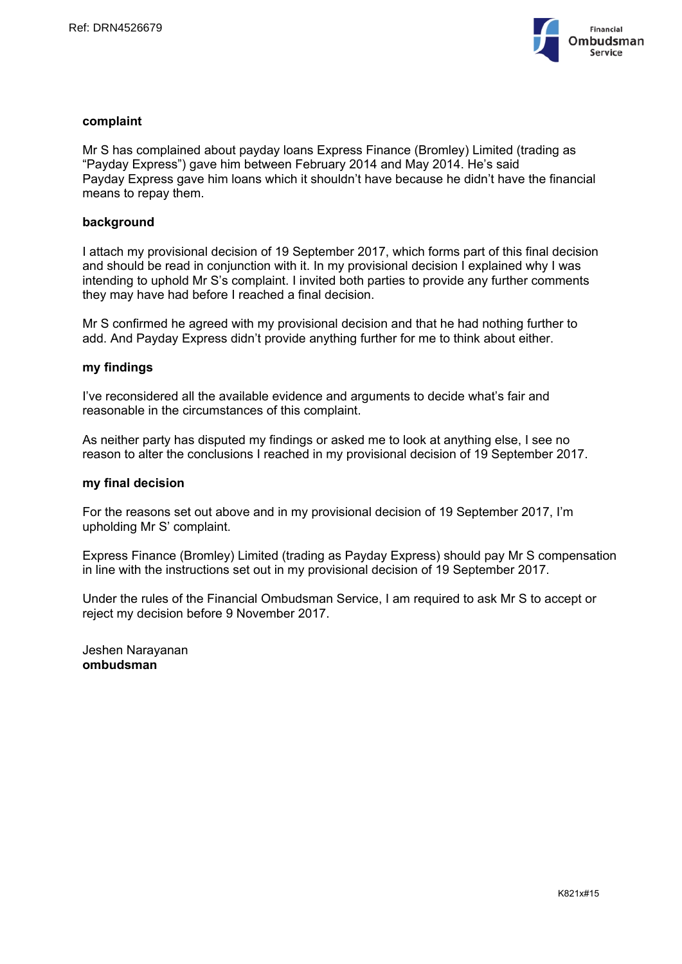

# **complaint**

Mr S has complained about payday loans Express Finance (Bromley) Limited (trading as "Payday Express") gave him between February 2014 and May 2014. He's said Payday Express gave him loans which it shouldn't have because he didn't have the financial means to repay them.

# **background**

I attach my provisional decision of 19 September 2017, which forms part of this final decision and should be read in conjunction with it. In my provisional decision I explained why I was intending to uphold Mr S's complaint. I invited both parties to provide any further comments they may have had before I reached a final decision.

Mr S confirmed he agreed with my provisional decision and that he had nothing further to add. And Payday Express didn't provide anything further for me to think about either.

### **my findings**

I've reconsidered all the available evidence and arguments to decide what's fair and reasonable in the circumstances of this complaint.

As neither party has disputed my findings or asked me to look at anything else, I see no reason to alter the conclusions I reached in my provisional decision of 19 September 2017.

## **my final decision**

For the reasons set out above and in my provisional decision of 19 September 2017, I'm upholding Mr S' complaint.

Express Finance (Bromley) Limited (trading as Payday Express) should pay Mr S compensation in line with the instructions set out in my provisional decision of 19 September 2017.

Under the rules of the Financial Ombudsman Service, I am required to ask Mr S to accept or reject my decision before 9 November 2017.

Jeshen Narayanan **ombudsman**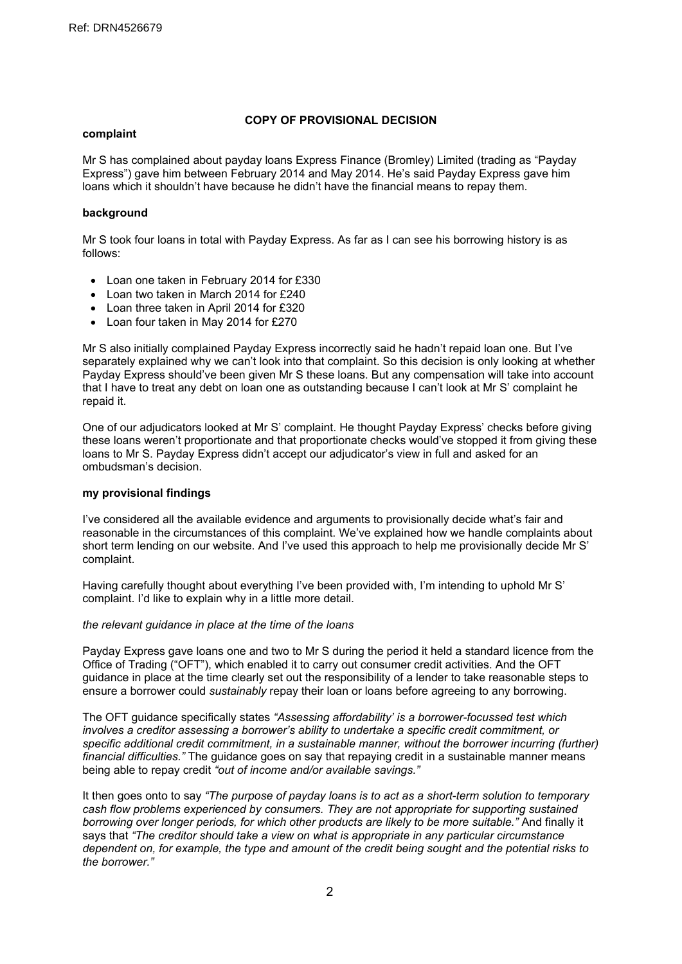# **COPY OF PROVISIONAL DECISION**

#### **complaint**

Mr S has complained about payday loans Express Finance (Bromley) Limited (trading as "Payday Express") gave him between February 2014 and May 2014. He's said Payday Express gave him loans which it shouldn't have because he didn't have the financial means to repay them.

## **background**

Mr S took four loans in total with Payday Express. As far as I can see his borrowing history is as follows:

- Loan one taken in February 2014 for £330
- Loan two taken in March 2014 for £240
- Loan three taken in April 2014 for £320
- Loan four taken in May 2014 for £270

Mr S also initially complained Payday Express incorrectly said he hadn't repaid loan one. But I've separately explained why we can't look into that complaint. So this decision is only looking at whether Payday Express should've been given Mr S these loans. But any compensation will take into account that I have to treat any debt on loan one as outstanding because I can't look at Mr S' complaint he repaid it.

One of our adjudicators looked at Mr S' complaint. He thought Payday Express' checks before giving these loans weren't proportionate and that proportionate checks would've stopped it from giving these loans to Mr S. Payday Express didn't accept our adjudicator's view in full and asked for an ombudsman's decision.

### **my provisional findings**

I've considered all the available evidence and arguments to provisionally decide what's fair and reasonable in the circumstances of this complaint. We've explained how we handle complaints about short term lending on our website. And I've used this approach to help me provisionally decide Mr S' complaint.

Having carefully thought about everything I've been provided with, I'm intending to uphold Mr S' complaint. I'd like to explain why in a little more detail.

### *the relevant guidance in place at the time of the loans*

Payday Express gave loans one and two to Mr S during the period it held a standard licence from the Office of Trading ("OFT"), which enabled it to carry out consumer credit activities. And the OFT guidance in place at the time clearly set out the responsibility of a lender to take reasonable steps to ensure a borrower could *sustainably* repay their loan or loans before agreeing to any borrowing.

The OFT guidance specifically states *"Assessing affordability' is a borrower-focussed test which involves a creditor assessing a borrower's ability to undertake a specific credit commitment, or specific additional credit commitment, in a sustainable manner, without the borrower incurring (further) financial difficulties."* The guidance goes on say that repaying credit in a sustainable manner means being able to repay credit *"out of income and/or available savings."*

It then goes onto to say *"The purpose of payday loans is to act as a short-term solution to temporary cash flow problems experienced by consumers. They are not appropriate for supporting sustained borrowing over longer periods, for which other products are likely to be more suitable."* And finally it says that *"The creditor should take a view on what is appropriate in any particular circumstance* dependent on, for example, the type and amount of the credit being sought and the potential risks to *the borrower."*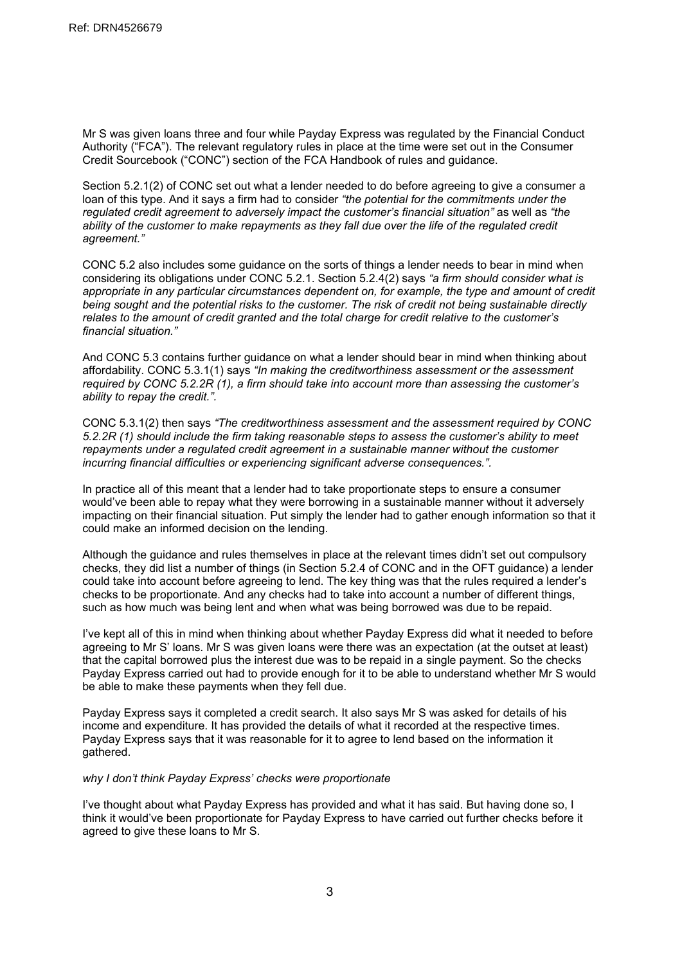Mr S was given loans three and four while Payday Express was regulated by the Financial Conduct Authority ("FCA"). The relevant regulatory rules in place at the time were set out in the Consumer Credit Sourcebook ("CONC") section of the FCA Handbook of rules and guidance.

Section 5.2.1(2) of CONC set out what a lender needed to do before agreeing to give a consumer a loan of this type. And it says a firm had to consider *"the potential for the commitments under the regulated credit agreement to adversely impact the customer's financial situation"* as well as *"the ability of the customer to make repayments as they fall due over the life of the regulated credit agreement."*

CONC 5.2 also includes some guidance on the sorts of things a lender needs to bear in mind when considering its obligations under CONC 5.2.1. Section 5.2.4(2) says *"a firm should consider what is appropriate in any particular circumstances dependent on, for example, the type and amount of credit being sought and the potential risks to the customer. The risk of credit not being sustainable directly relates to the amount of credit granted and the total charge for credit relative to the customer's financial situation."*

And CONC 5.3 contains further guidance on what a lender should bear in mind when thinking about affordability. CONC 5.3.1(1) says *"In making the [creditworthiness](https://www.handbook.fca.org.uk/handbook/glossary/G3314.html) assessment or the assessment required by CONC [5.2.2R](https://www.handbook.fca.org.uk/handbook/CONC/5/2.html#DES31) (1), a [firm](https://www.handbook.fca.org.uk/handbook/glossary/G430.html) should take into account more than assessing the [customer's](https://www.handbook.fca.org.uk/handbook/glossary/G252.html) ability to repay the [credit](https://www.handbook.fca.org.uk/handbook/glossary/G238.html).".*

CONC 5.3.1(2) then says *"The [creditworthiness](https://www.handbook.fca.org.uk/handbook/glossary/G3314.html) assessment and the assessment required by [CONC](https://www.handbook.fca.org.uk/handbook/CONC/5/2.html#DES31) [5.2.2R](https://www.handbook.fca.org.uk/handbook/CONC/5/2.html#DES31) (1) should include the [firm](https://www.handbook.fca.org.uk/handbook/glossary/G430.html) taking reasonable steps to assess the [customer's](https://www.handbook.fca.org.uk/handbook/glossary/G252.html) ability to meet [repayments](https://www.handbook.fca.org.uk/handbook/glossary/G3353.html) under a regulated credit [agreement](https://www.handbook.fca.org.uk/handbook/glossary/G3184.html) in a [sustainable](https://www.handbook.fca.org.uk/handbook/glossary/G3357.html) manner without the [customer](https://www.handbook.fca.org.uk/handbook/glossary/G252.html) incurring financial difficulties or experiencing significant adverse consequences.".*

In practice all of this meant that a lender had to take proportionate steps to ensure a consumer would've been able to repay what they were borrowing in a sustainable manner without it adversely impacting on their financial situation. Put simply the lender had to gather enough information so that it could make an informed decision on the lending.

Although the guidance and rules themselves in place at the relevant times didn't set out compulsory checks, they did list a number of things (in Section 5.2.4 of CONC and in the OFT guidance) a lender could take into account before agreeing to lend. The key thing was that the rules required a lender's checks to be proportionate. And any checks had to take into account a number of different things, such as how much was being lent and when what was being borrowed was due to be repaid.

I've kept all of this in mind when thinking about whether Payday Express did what it needed to before agreeing to Mr S' loans. Mr S was given loans were there was an expectation (at the outset at least) that the capital borrowed plus the interest due was to be repaid in a single payment. So the checks Payday Express carried out had to provide enough for it to be able to understand whether Mr S would be able to make these payments when they fell due.

Payday Express says it completed a credit search. It also says Mr S was asked for details of his income and expenditure. It has provided the details of what it recorded at the respective times. Payday Express says that it was reasonable for it to agree to lend based on the information it gathered.

### *why I don't think Payday Express' checks were proportionate*

I've thought about what Payday Express has provided and what it has said. But having done so, I think it would've been proportionate for Payday Express to have carried out further checks before it agreed to give these loans to Mr S.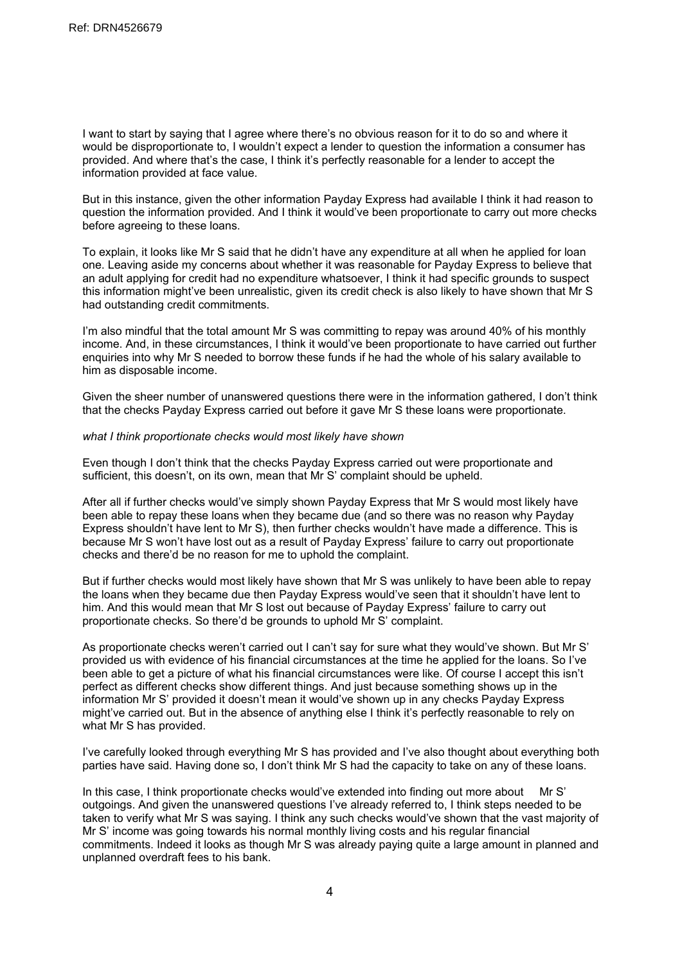I want to start by saying that I agree where there's no obvious reason for it to do so and where it would be disproportionate to, I wouldn't expect a lender to question the information a consumer has provided. And where that's the case, I think it's perfectly reasonable for a lender to accept the information provided at face value.

But in this instance, given the other information Payday Express had available I think it had reason to question the information provided. And I think it would've been proportionate to carry out more checks before agreeing to these loans.

To explain, it looks like Mr S said that he didn't have any expenditure at all when he applied for loan one. Leaving aside my concerns about whether it was reasonable for Payday Express to believe that an adult applying for credit had no expenditure whatsoever, I think it had specific grounds to suspect this information might've been unrealistic, given its credit check is also likely to have shown that Mr S had outstanding credit commitments.

I'm also mindful that the total amount Mr S was committing to repay was around 40% of his monthly income. And, in these circumstances, I think it would've been proportionate to have carried out further enquiries into why Mr S needed to borrow these funds if he had the whole of his salary available to him as disposable income.

Given the sheer number of unanswered questions there were in the information gathered, I don't think that the checks Payday Express carried out before it gave Mr S these loans were proportionate.

#### *what I think proportionate checks would most likely have shown*

Even though I don't think that the checks Payday Express carried out were proportionate and sufficient, this doesn't, on its own, mean that Mr S' complaint should be upheld.

After all if further checks would've simply shown Payday Express that Mr S would most likely have been able to repay these loans when they became due (and so there was no reason why Payday Express shouldn't have lent to Mr S), then further checks wouldn't have made a difference. This is because Mr S won't have lost out as a result of Payday Express' failure to carry out proportionate checks and there'd be no reason for me to uphold the complaint.

But if further checks would most likely have shown that Mr S was unlikely to have been able to repay the loans when they became due then Payday Express would've seen that it shouldn't have lent to him. And this would mean that Mr S lost out because of Payday Express' failure to carry out proportionate checks. So there'd be grounds to uphold Mr S' complaint.

As proportionate checks weren't carried out I can't say for sure what they would've shown. But Mr S' provided us with evidence of his financial circumstances at the time he applied for the loans. So I've been able to get a picture of what his financial circumstances were like. Of course I accept this isn't perfect as different checks show different things. And just because something shows up in the information Mr S' provided it doesn't mean it would've shown up in any checks Payday Express might've carried out. But in the absence of anything else I think it's perfectly reasonable to rely on what Mr S has provided.

I've carefully looked through everything Mr S has provided and I've also thought about everything both parties have said. Having done so, I don't think Mr S had the capacity to take on any of these loans.

In this case, I think proportionate checks would've extended into finding out more about Mr S' outgoings. And given the unanswered questions I've already referred to, I think steps needed to be taken to verify what Mr S was saying. I think any such checks would've shown that the vast majority of Mr S' income was going towards his normal monthly living costs and his regular financial commitments. Indeed it looks as though Mr S was already paying quite a large amount in planned and unplanned overdraft fees to his bank.